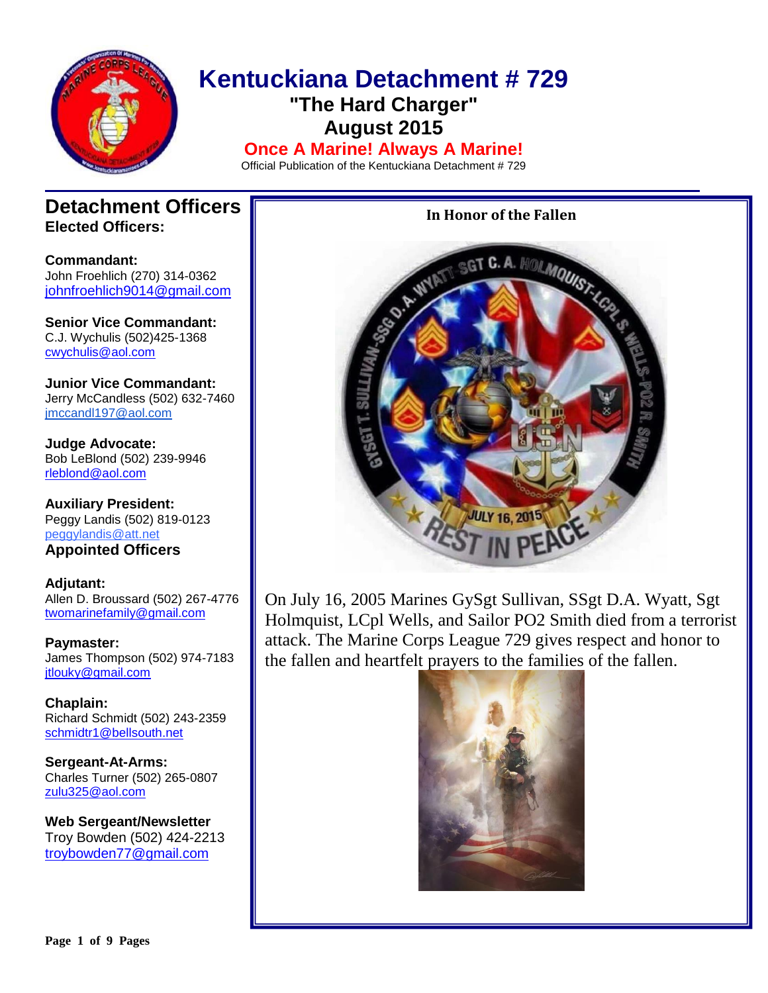

# **Kentuckiana Detachment # 729 "The Hard Charger" August 2015 Once A Marine! Always A Marine!**

Official Publication of the Kentuckiana Detachment # 729

## **Detachment Officers Elected Officers:**

**Commandant:**  John Froehlich (270) 314-0362 [johnfroehlich9014@gmail.com](file:///C:/Users/Allen%20Broussard/Downloads/johnfroehlich9014@gmail.com)

**Senior Vice Commandant:** C.J. Wychulis (502)425-1368 cwychulis@aol.com

**Junior Vice Commandant:** Jerry McCandless (502) 632-7460 [jmccandl197@aol.com](mailto:jmccandl197@aol.com)

**Judge Advocate:** Bob LeBlond (502) 239-9946 rleblond@aol.com

**Auxiliary President:** Peggy Landis (502) 819-0123 peggylandis@att.net **Appointed Officers**

**Adjutant:** Allen D. Broussard (502) 267-4776 [twomarinefamily@gmail.com](https://commcenter.insightbb.com/attach/2006/broussard.marines@insightbb.com)

**Paymaster:** James Thompson (502) 974-7183 [jtlouky@gmail.com](mailto:jtlouky@gmail.com)

**Chaplain:** Richard Schmidt (502) 243-2359 [schmidtr1@bellsouth.net](mailto:Alusmc75@gmail.com)

**Sergeant-At-Arms:** Charles Turner (502) 265-0807 [zulu325@aol.com](file:///C:/Users/Allen%20Broussard/Downloads/zulu325@aol.com)

**Web Sergeant/Newsletter** Troy Bowden (502) 424-2213 troybowden77@gmail.com

## **In Honor of the Fallen**



On July 16, 2005 Marines GySgt Sullivan, SSgt D.A. Wyatt, Sgt Holmquist, LCpl Wells, and Sailor PO2 Smith died from a terrorist attack. The Marine Corps League 729 gives respect and honor to the fallen and heartfelt prayers to the families of the fallen.

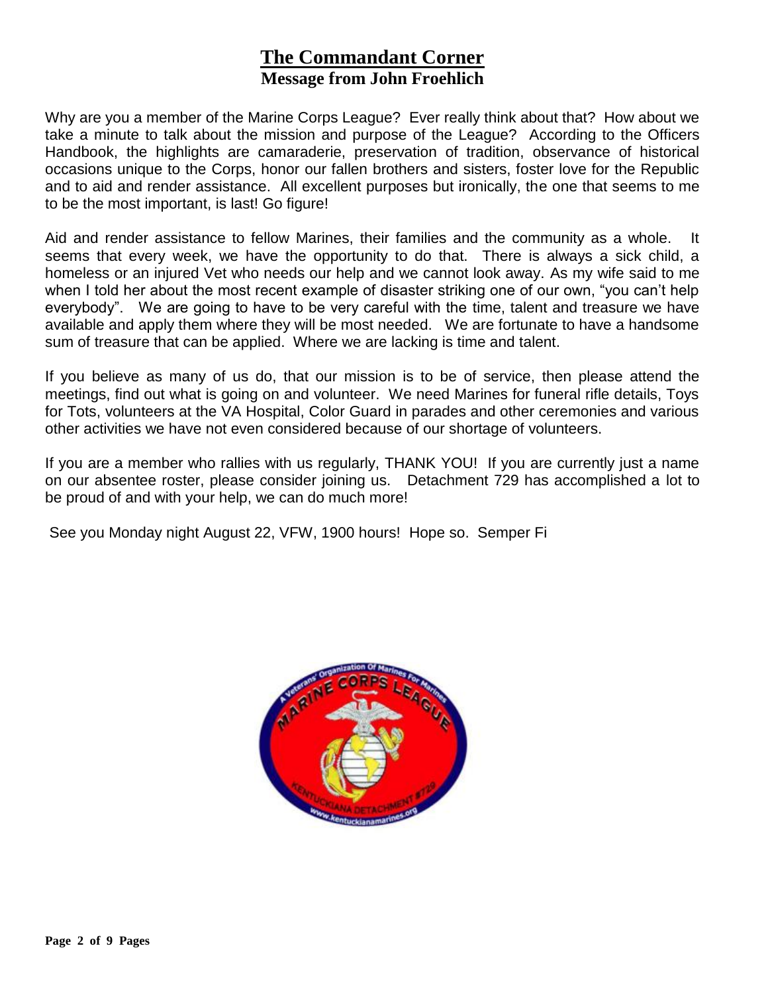# **The Commandant Corner Message from John Froehlich**

Why are you a member of the Marine Corps League? Ever really think about that? How about we take a minute to talk about the mission and purpose of the League? According to the Officers Handbook, the highlights are camaraderie, preservation of tradition, observance of historical occasions unique to the Corps, honor our fallen brothers and sisters, foster love for the Republic and to aid and render assistance. All excellent purposes but ironically, the one that seems to me to be the most important, is last! Go figure!

Aid and render assistance to fellow Marines, their families and the community as a whole. It seems that every week, we have the opportunity to do that. There is always a sick child, a homeless or an injured Vet who needs our help and we cannot look away. As my wife said to me when I told her about the most recent example of disaster striking one of our own, "you can't help everybody". We are going to have to be very careful with the time, talent and treasure we have available and apply them where they will be most needed. We are fortunate to have a handsome sum of treasure that can be applied. Where we are lacking is time and talent.

If you believe as many of us do, that our mission is to be of service, then please attend the meetings, find out what is going on and volunteer. We need Marines for funeral rifle details, Toys for Tots, volunteers at the VA Hospital, Color Guard in parades and other ceremonies and various other activities we have not even considered because of our shortage of volunteers.

If you are a member who rallies with us regularly, THANK YOU! If you are currently just a name on our absentee roster, please consider joining us. Detachment 729 has accomplished a lot to be proud of and with your help, we can do much more!

See you Monday night August 22, VFW, 1900 hours! Hope so. Semper Fi

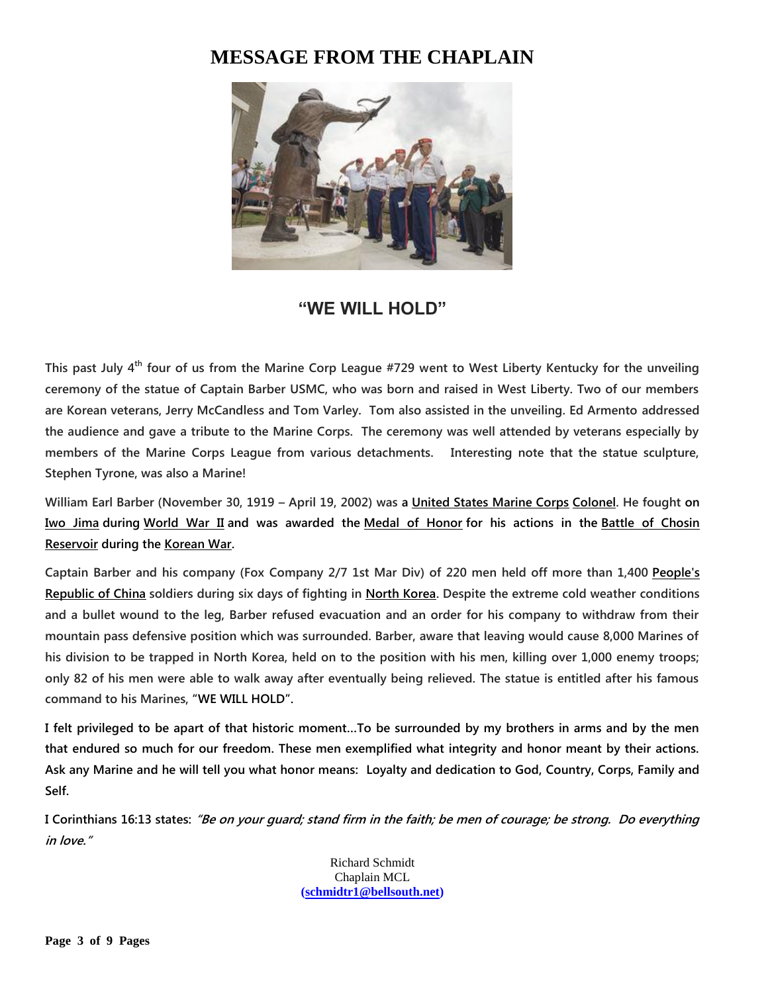# **MESSAGE FROM THE CHAPLAIN**



# **"WE WILL HOLD"**

**This past July 4th four of us from the Marine Corp League #729 went to West Liberty Kentucky for the unveiling ceremony of the statue of Captain Barber USMC, who was born and raised in West Liberty. Two of our members are Korean veterans, Jerry McCandless and Tom Varley. Tom also assisted in the unveiling. Ed Armento addressed the audience and gave a tribute to the Marine Corps. The ceremony was well attended by veterans especially by members of the Marine Corps League from various detachments. Interesting note that the statue sculpture, Stephen Tyrone, was also a Marine!**

**William Earl Barber (November 30, 1919 – April 19, 2002) was a [United States Marine Corps](https://en.wikipedia.org/wiki/United_States_Marine_Corps) [Colonel.](https://en.wikipedia.org/wiki/Colonel_(United_States)) He fought on [Iwo Jima](https://en.wikipedia.org/wiki/Battle_of_Iwo_Jima) during [World War II](https://en.wikipedia.org/wiki/World_War_II) and was awarded the [Medal of Honor](https://en.wikipedia.org/wiki/Medal_of_Honor) for his actions in the [Battle of Chosin](https://en.wikipedia.org/wiki/Battle_of_Chosin_Reservoir)  [Reservoir](https://en.wikipedia.org/wiki/Battle_of_Chosin_Reservoir) during the [Korean War.](https://en.wikipedia.org/wiki/Korean_War)**

**Captain Barber and his company (Fox Company 2/7 1st Mar Div) of 220 men held off more than 1,400 [People's](https://en.wikipedia.org/wiki/People%27s_Republic_of_China)  [Republic of China](https://en.wikipedia.org/wiki/People%27s_Republic_of_China) soldiers during six days of fighting in [North Korea.](https://en.wikipedia.org/wiki/North_Korea) Despite the extreme cold weather conditions and a bullet wound to the leg, Barber refused evacuation and an order for his company to withdraw from their mountain pass defensive position which was surrounded. Barber, aware that leaving would cause 8,000 Marines of his division to be trapped in North Korea, held on to the position with his men, killing over 1,000 enemy troops; only 82 of his men were able to walk away after eventually being relieved. The statue is entitled after his famous command to his Marines, "WE WILL HOLD".**

**I felt privileged to be apart of that historic moment…To be surrounded by my brothers in arms and by the men that endured so much for our freedom. These men exemplified what integrity and honor meant by their actions. Ask any Marine and he will tell you what honor means: Loyalty and dedication to God, Country, Corps, Family and Self.**

**I Corinthians 16:13 states: "Be on your guard; stand firm in the faith; be men of courage; be strong. Do everything in love."**

> Richard Schmidt Chaplain MCL **[\(schmidtr1@bellsouth.net\)](mailto:schmidtr1@bellsouth.net)**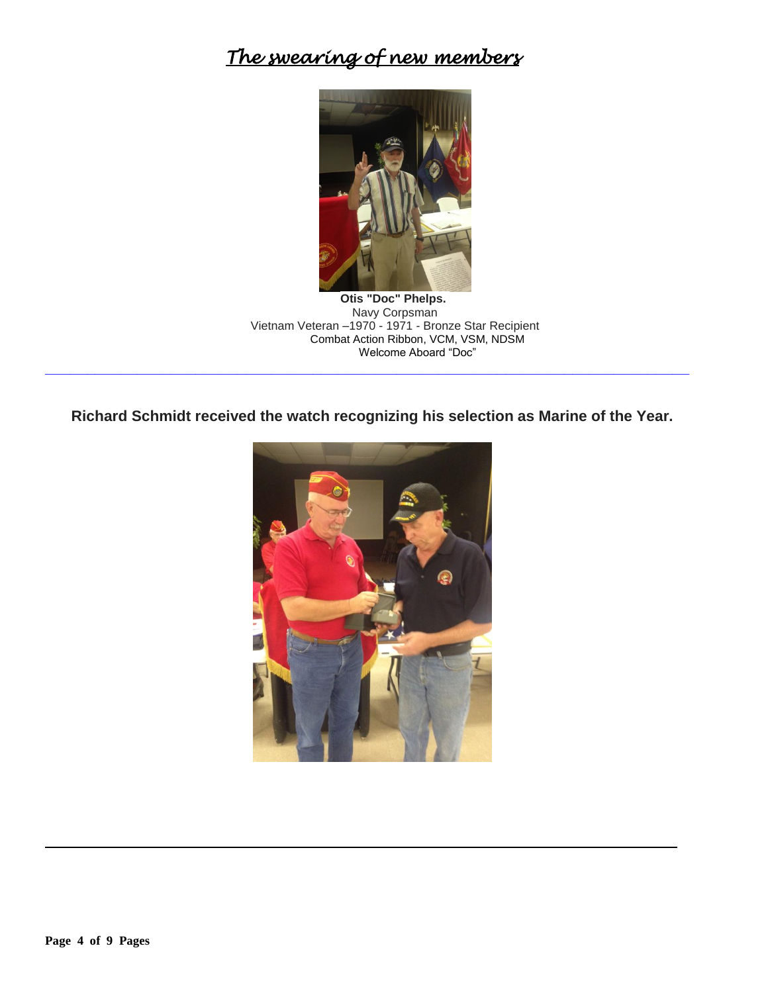# *The swearing of new members*



**Otis "Doc" Phelps.** Navy Corpsman Vietnam Veteran –1970 - 1971 - Bronze Star Recipient Combat Action Ribbon, VCM, VSM, NDSM Welcome Aboard "Doc"

**Richard Schmidt received the watch recognizing his selection as Marine of the Year.**

**\_\_\_\_\_\_\_\_\_\_\_\_\_\_\_\_\_\_\_\_\_\_\_\_\_\_\_\_\_\_\_\_\_\_\_\_\_\_\_\_\_\_\_\_\_\_\_\_\_\_\_\_\_\_\_\_\_\_\_\_\_\_\_\_\_\_\_\_\_\_\_\_\_\_\_\_\_**

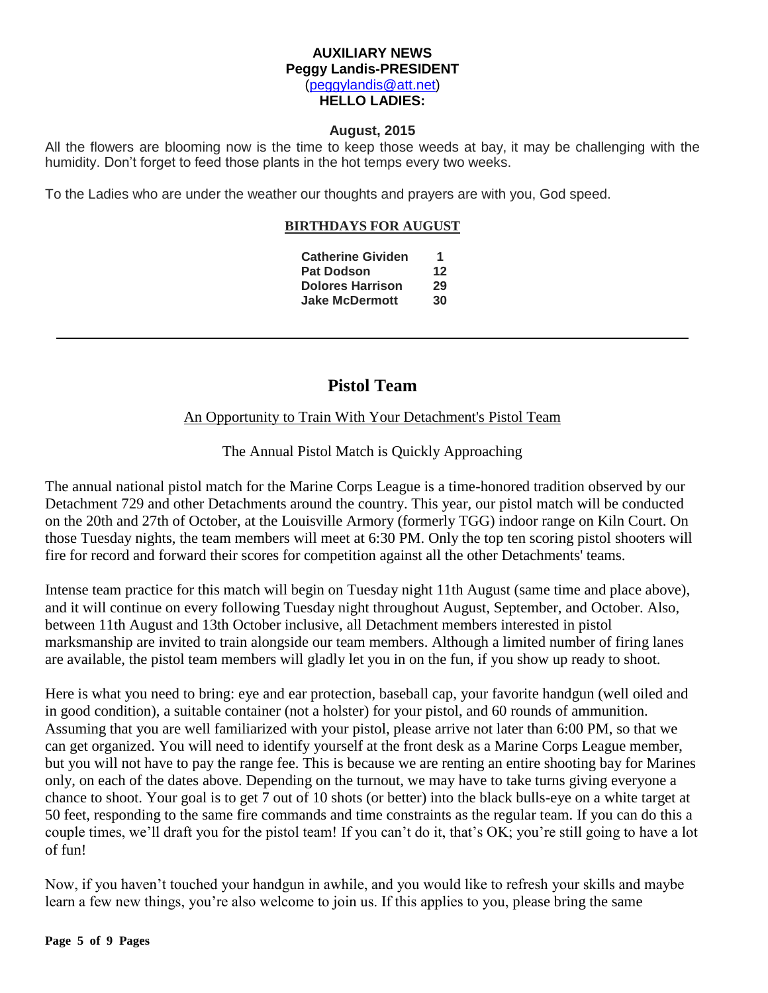## **AUXILIARY NEWS Peggy Landis-PRESIDENT** [\(peggylandis@att.net\)](file:///C:/Users/Bob/AppData/Local/Microsoft/Windows/Temporary%20Internet%20Files/Bob/AppData/Local/Microsoft/Windows/Temporary%20Internet%20Files/Content.IE5/E9IEDDJK/peggylandis@att.net) **HELLO LADIES:**

## **August, 2015**

All the flowers are blooming now is the time to keep those weeds at bay, it may be challenging with the humidity. Don't forget to feed those plants in the hot temps every two weeks.

To the Ladies who are under the weather our thoughts and prayers are with you, God speed.

## **BIRTHDAYS FOR AUGUST**

| <b>Catherine Gividen</b> | 1  |
|--------------------------|----|
| <b>Pat Dodson</b>        | 12 |
| <b>Dolores Harrison</b>  | 29 |
| <b>Jake McDermott</b>    | 30 |

## **Pistol Team**

## An Opportunity to Train With Your Detachment's Pistol Team

The Annual Pistol Match is Quickly Approaching

The annual national pistol match for the Marine Corps League is a time-honored tradition observed by our Detachment 729 and other Detachments around the country. This year, our pistol match will be conducted on the 20th and 27th of October, at the Louisville Armory (formerly TGG) indoor range on Kiln Court. On those Tuesday nights, the team members will meet at 6:30 PM. Only the top ten scoring pistol shooters will fire for record and forward their scores for competition against all the other Detachments' teams.

Intense team practice for this match will begin on Tuesday night 11th August (same time and place above), and it will continue on every following Tuesday night throughout August, September, and October. Also, between 11th August and 13th October inclusive, all Detachment members interested in pistol marksmanship are invited to train alongside our team members. Although a limited number of firing lanes are available, the pistol team members will gladly let you in on the fun, if you show up ready to shoot.

Here is what you need to bring: eye and ear protection, baseball cap, your favorite handgun (well oiled and in good condition), a suitable container (not a holster) for your pistol, and 60 rounds of ammunition. Assuming that you are well familiarized with your pistol, please arrive not later than 6:00 PM, so that we can get organized. You will need to identify yourself at the front desk as a Marine Corps League member, but you will not have to pay the range fee. This is because we are renting an entire shooting bay for Marines only, on each of the dates above. Depending on the turnout, we may have to take turns giving everyone a chance to shoot. Your goal is to get 7 out of 10 shots (or better) into the black bulls-eye on a white target at 50 feet, responding to the same fire commands and time constraints as the regular team. If you can do this a couple times, we'll draft you for the pistol team! If you can't do it, that's OK; you're still going to have a lot of fun!

Now, if you haven't touched your handgun in awhile, and you would like to refresh your skills and maybe learn a few new things, you're also welcome to join us. If this applies to you, please bring the same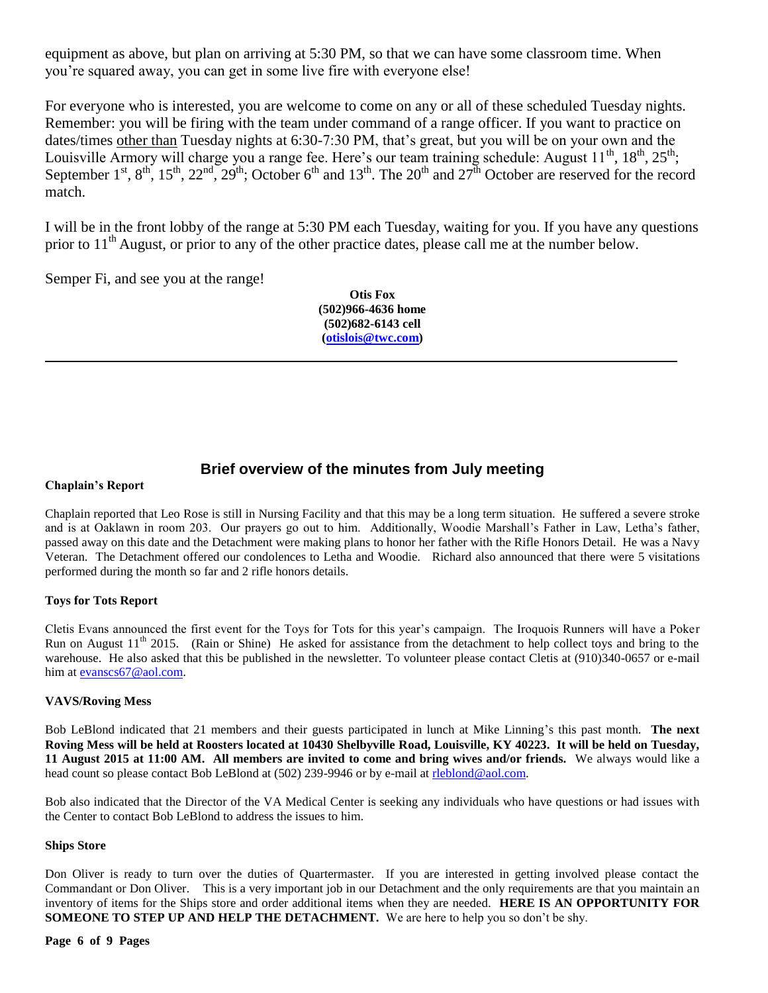equipment as above, but plan on arriving at 5:30 PM, so that we can have some classroom time. When you're squared away, you can get in some live fire with everyone else!

For everyone who is interested, you are welcome to come on any or all of these scheduled Tuesday nights. Remember: you will be firing with the team under command of a range officer. If you want to practice on dates/times other than Tuesday nights at 6:30-7:30 PM, that's great, but you will be on your own and the Louisville Armory will charge you a range fee. Here's our team training schedule: August  $11^{th}$ ,  $18^{th}$ ,  $25^{th}$ ; September  $1^{st}$ ,  $8^{th}$ ,  $15^{th}$ ,  $22^{nd}$ ,  $29^{th}$ ; October 6<sup>th</sup> and  $13^{th}$ . The  $20^{th}$  and  $27^{th}$  October are reserved for the record match.

I will be in the front lobby of the range at 5:30 PM each Tuesday, waiting for you. If you have any questions prior to 11<sup>th</sup> August, or prior to any of the other practice dates, please call me at the number below.

Semper Fi, and see you at the range!

**Otis Fox (502)966-4636 home (502)682-6143 cell [\(otislois@twc.com\)](mailto:otislois@twc.com)**

## **Brief overview of the minutes from July meeting**

### **Chaplain's Report**

Chaplain reported that Leo Rose is still in Nursing Facility and that this may be a long term situation. He suffered a severe stroke and is at Oaklawn in room 203. Our prayers go out to him. Additionally, Woodie Marshall's Father in Law, Letha's father, passed away on this date and the Detachment were making plans to honor her father with the Rifle Honors Detail. He was a Navy Veteran. The Detachment offered our condolences to Letha and Woodie. Richard also announced that there were 5 visitations performed during the month so far and 2 rifle honors details.

## **Toys for Tots Report**

Cletis Evans announced the first event for the Toys for Tots for this year's campaign. The Iroquois Runners will have a Poker Run on August  $11<sup>th</sup>$  2015. (Rain or Shine) He asked for assistance from the detachment to help collect toys and bring to the warehouse. He also asked that this be published in the newsletter. To volunteer please contact Cletis at (910)340-0657 or e-mail him at [evanscs67@aol.com.](mailto:evanscs67@aol.com)

### **VAVS/Roving Mess**

Bob LeBlond indicated that 21 members and their guests participated in lunch at Mike Linning's this past month. **The next Roving Mess will be held at Roosters located at 10430 Shelbyville Road, Louisville, KY 40223. It will be held on Tuesday, 11 August 2015 at 11:00 AM. All members are invited to come and bring wives and/or friends.** We always would like a head count so please contact Bob LeBlond at (502) 239-9946 or by e-mail at rleblond@aol.com.

Bob also indicated that the Director of the VA Medical Center is seeking any individuals who have questions or had issues with the Center to contact Bob LeBlond to address the issues to him.

### **Ships Store**

Don Oliver is ready to turn over the duties of Quartermaster. If you are interested in getting involved please contact the Commandant or Don Oliver. This is a very important job in our Detachment and the only requirements are that you maintain an inventory of items for the Ships store and order additional items when they are needed. **HERE IS AN OPPORTUNITY FOR SOMEONE TO STEP UP AND HELP THE DETACHMENT.** We are here to help you so don't be shy.

#### **Page 6 of 9 Pages**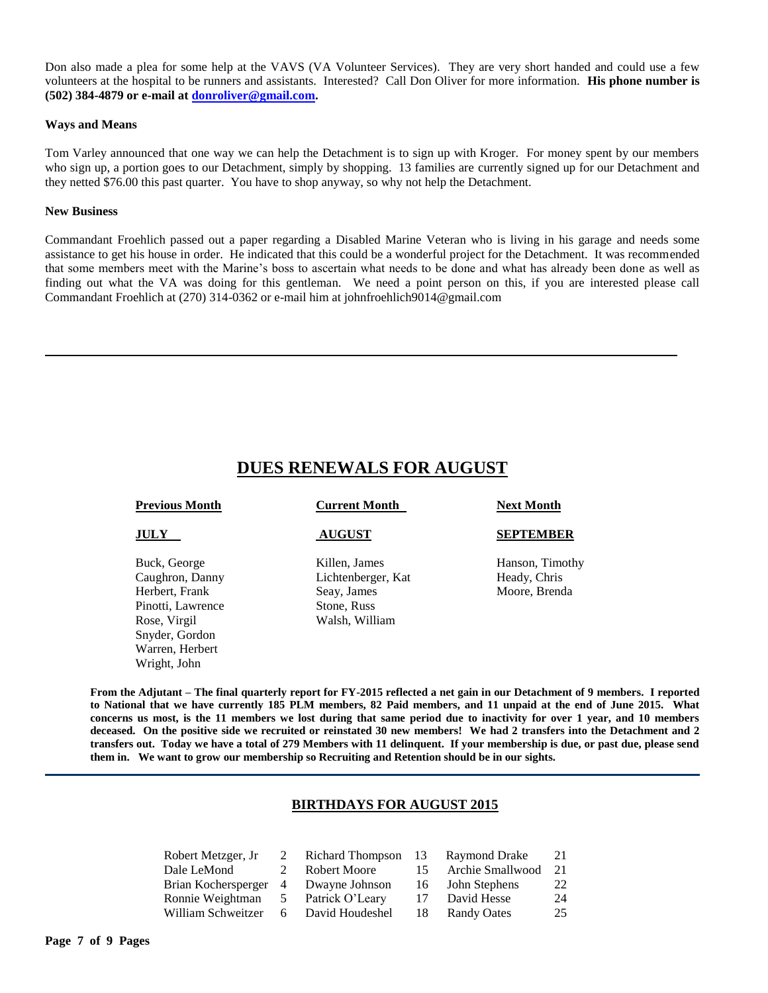Don also made a plea for some help at the VAVS (VA Volunteer Services). They are very short handed and could use a few volunteers at the hospital to be runners and assistants. Interested? Call Don Oliver for more information. **His phone number is (502) 384-4879 or e-mail at [donroliver@gmail.com.](mailto:donroliver@gmail.com)**

#### **Ways and Means**

Tom Varley announced that one way we can help the Detachment is to sign up with Kroger. For money spent by our members who sign up, a portion goes to our Detachment, simply by shopping. 13 families are currently signed up for our Detachment and they netted \$76.00 this past quarter. You have to shop anyway, so why not help the Detachment.

#### **New Business**

Commandant Froehlich passed out a paper regarding a Disabled Marine Veteran who is living in his garage and needs some assistance to get his house in order. He indicated that this could be a wonderful project for the Detachment. It was recommended that some members meet with the Marine's boss to ascertain what needs to be done and what has already been done as well as finding out what the VA was doing for this gentleman. We need a point person on this, if you are interested please call Commandant Froehlich at (270) 314-0362 or e-mail him at johnfroehlich9014@gmail.com

## **DUES RENEWALS FOR AUGUST**

| <b>Current Month</b>                                                                | <b>Next Month</b>                                |
|-------------------------------------------------------------------------------------|--------------------------------------------------|
| <b>AUGUST</b>                                                                       | <b>SEPTEMBER</b>                                 |
| Killen, James<br>Lichtenberger, Kat<br>Seay, James<br>Stone, Russ<br>Walsh, William | Hanson, Timothy<br>Heady, Chris<br>Moore, Brenda |
|                                                                                     |                                                  |

**From the Adjutant – The final quarterly report for FY-2015 reflected a net gain in our Detachment of 9 members. I reported to National that we have currently 185 PLM members, 82 Paid members, and 11 unpaid at the end of June 2015. What concerns us most, is the 11 members we lost during that same period due to inactivity for over 1 year, and 10 members deceased. On the positive side we recruited or reinstated 30 new members! We had 2 transfers into the Detachment and 2 transfers out. Today we have a total of 279 Members with 11 delinquent. If your membership is due, or past due, please send them in. We want to grow our membership so Recruiting and Retention should be in our sights.** 

### **BIRTHDAYS FOR AUGUST 2015**

| Robert Metzger, Jr 2 Richard Thompson 13 Raymond Drake |             |              |    |                        | -21 |
|--------------------------------------------------------|-------------|--------------|----|------------------------|-----|
| Dale LeMond                                            | $2^{\circ}$ | Robert Moore |    | 15 Archie Smallwood 21 |     |
| Brian Kochersperger 4 Dwayne Johnson                   |             |              |    | 16 John Stephens       | 22  |
| Ronnie Weightman 5 Patrick O'Leary                     |             |              | 17 | David Hesse            | 24  |
| William Schweitzer 6 David Houdeshel                   |             |              |    | 18 Randy Oates         | 25  |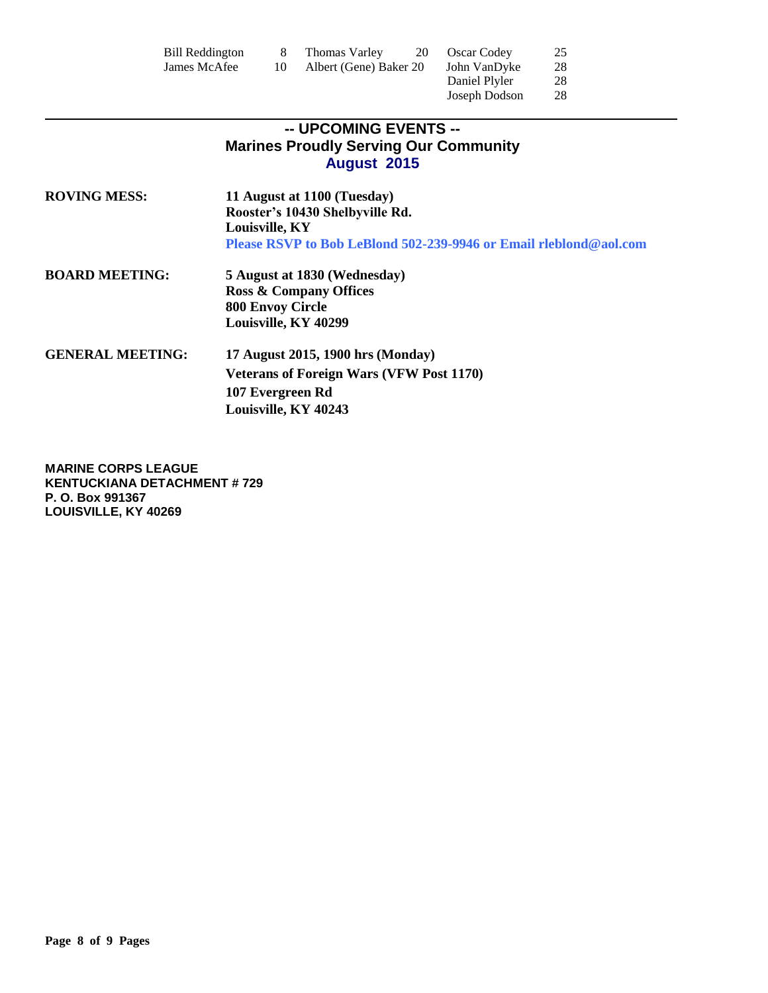| Bill Reddington | Thomas Varley<br>20    | <b>Oscar Codey</b> | 25 |
|-----------------|------------------------|--------------------|----|
| James McAfee    | Albert (Gene) Baker 20 | John VanDyke       | 28 |
|                 |                        | Daniel Plyler      | 28 |

Joseph Dodson 28

## **-- UPCOMING EVENTS -- Marines Proudly Serving Our Community August 2015**

| <b>ROVING MESS:</b>     | 11 August at 1100 (Tuesday)<br>Rooster's 10430 Shelbyville Rd.                      |
|-------------------------|-------------------------------------------------------------------------------------|
|                         | Louisville, KY<br>Please RSVP to Bob LeBlond 502-239-9946 or Email rieblond@aol.com |
| <b>BOARD MEETING:</b>   | 5 August at 1830 (Wednesday)                                                        |
|                         | <b>Ross &amp; Company Offices</b>                                                   |
|                         | <b>800 Envoy Circle</b>                                                             |
|                         | Louisville, KY 40299                                                                |
| <b>GENERAL MEETING:</b> | 17 August 2015, 1900 hrs (Monday)                                                   |
|                         | <b>Veterans of Foreign Wars (VFW Post 1170)</b>                                     |
|                         | 107 Evergreen Rd                                                                    |
|                         | Louisville, KY 40243                                                                |

**MARINE CORPS LEAGUE KENTUCKIANA DETACHMENT # 729 P. O. Box 991367 LOUISVILLE, KY 40269**